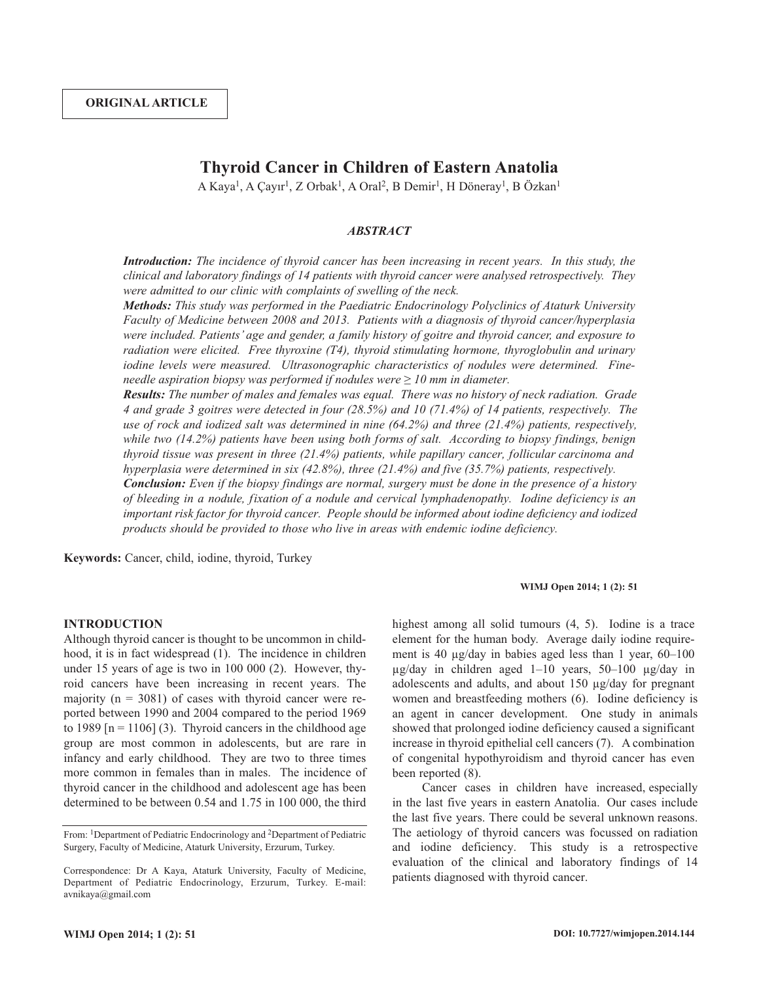# **Thyroid Cancer in Children of Eastern Anatolia**

A Kaya<sup>1</sup>, A Çayır<sup>1</sup>, Z Orbak<sup>1</sup>, A Oral<sup>2</sup>, B Demir<sup>1</sup>, H Döneray<sup>1</sup>, B Özkan<sup>1</sup>

## *ABSTRACT*

*Introduction: The incidence of thyroid cancer has been increasing in recent years. In this study, the clinical and laboratory findings of 14 patients with thyroid cancer were analysed retrospectively. They were admitted to our clinic with complaints of swelling of the neck.*

*Methods: This study was performed in the Paediatric Endocrinology Polyclinics of Ataturk University Faculty of Medicine between 2008 and 2013. Patients with a diagnosis of thyroid cancer/hyperplasia were included. Patients' age and gender, a family history of goitre and thyroid cancer, and exposure to radiation were elicited. Free thyroxine (T4), thyroid stimulating hormone, thyroglobulin and urinary iodine levels were measured. Ultrasonographic characteristics of nodules were determined. Fineneedle aspiration biopsy was performed if nodules were ≥ 10 mm in diameter.*

*Results: The number of males and females was equal. There was no history of neck radiation. Grade* 4 and grade 3 goitres were detected in four (28.5%) and 10 (71.4%) of 14 patients, respectively. The *use of rock and iodized salt was determined in nine (64.2%) and three (21.4%) patients, respectively, while two (14.2%) patients have been using both forms of salt. According to biopsy findings, benign thyroid tissue was present in three (21.4%) patients, while papillary cancer, follicular carcinoma and hyperplasia were determined in six (42.8%), three (21.4%) and five (35.7%) patients, respectively.*

**Conclusion:** Even if the biopsy findings are normal, surgery must be done in the presence of a history *of bleeding in a nodule, fixation of a nodule and cervical lymphadenopathy. Iodine deficiency is an important risk factor for thyroid cancer. People should be informed about iodine deficiency and iodized products should be provided to those who live in areas with endemic iodine deficiency.*

**Keywords:** Cancer, child, iodine, thyroid, Turkey

## **WIMJ Open 2014; 1 (2): 51**

#### **INTRODUCTION**

Although thyroid cancer is thought to be uncommon in childhood, it is in fact widespread (1). The incidence in children under 15 years of age is two in 100 000 (2). However, thyroid cancers have been increasing in recent years. The majority ( $n = 3081$ ) of cases with thyroid cancer were reported between 1990 and 2004 compared to the period 1969 to 1989  $[n = 1106]$  (3). Thyroid cancers in the childhood age group are most common in adolescents, but are rare in infancy and early childhood. They are two to three times more common in females than in males. The incidence of thyroid cancer in the childhood and adolescent age has been determined to be between 0.54 and 1.75 in 100 000, the third highest among all solid tumours  $(4, 5)$ . Iodine is a trace element for the human body. Average daily iodine requirement is 40 µg/day in babies aged less than 1 year, 60–100 µg/day in children aged 1–10 years, 50–100 µg/day in adolescents and adults, and about 150 µg/day for pregnant women and breastfeeding mothers (6). Iodine deficiency is an agent in cancer development. One study in animals showed that prolonged iodine deficiency caused a significant increase in thyroid epithelial cell cancers (7). A combination of congenital hypothyroidism and thyroid cancer has even been reported (8).

Cancer cases in children have increased, especially in the last five years in eastern Anatolia. Our cases include the last five years. There could be several unknown reasons. The aetiology of thyroid cancers was focussed on radiation and iodine deficiency. This study is a retrospective evaluation of the clinical and laboratory findings of 14 patients diagnosed with thyroid cancer.

From: <sup>1</sup>Department of Pediatric Endocrinology and <sup>2</sup>Department of Pediatric Surgery, Faculty of Medicine, Ataturk University, Erzurum, Turkey.

Correspondence: Dr A Kaya, Ataturk University, Faculty of Medicine, Department of Pediatric Endocrinology, Erzurum, Turkey. E-mail: avnikaya@gmail.com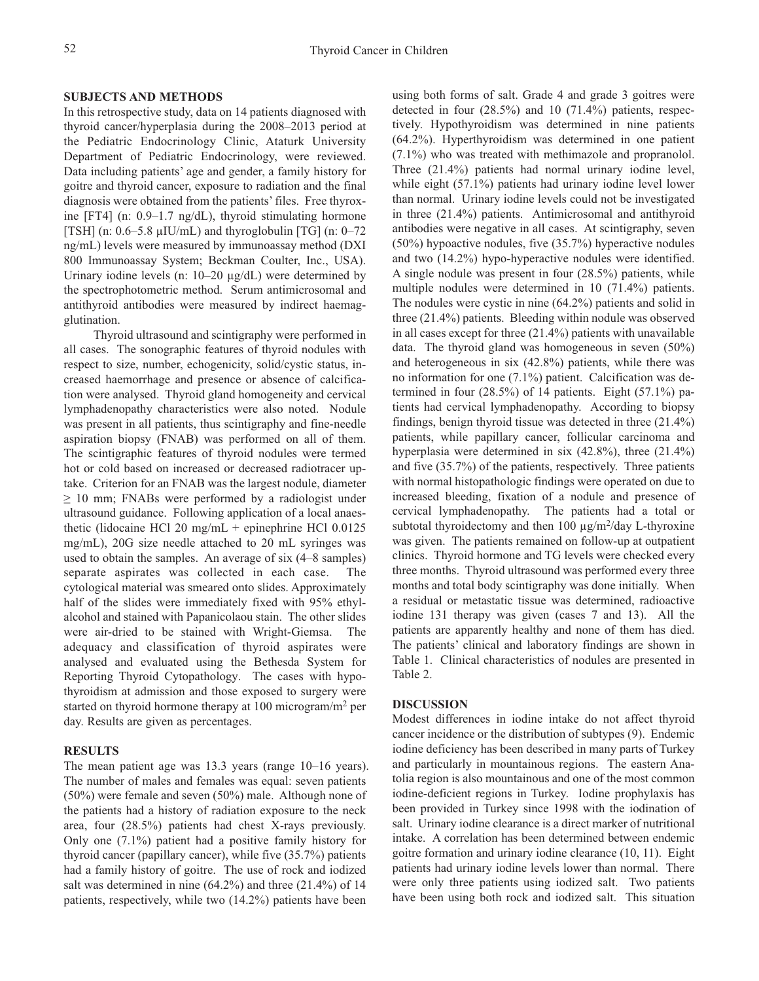# **SUBJECTS AND METHODS**

In this retrospective study, data on 14 patients diagnosed with thyroid cancer/hyperplasia during the 2008–2013 period at the Pediatric Endocrinology Clinic, Ataturk University Department of Pediatric Endocrinology, were reviewed. Data including patients' age and gender, a family history for goitre and thyroid cancer, exposure to radiation and the final diagnosis were obtained from the patients' files. Free thyroxine [FT4] (n: 0.9–1.7 ng/dL), thyroid stimulating hormone [TSH] (n: 0.6–5.8 µIU/mL) and thyroglobulin [TG] (n: 0–72 ng/mL) levels were measured by immunoassay method (DXI 800 Immunoassay System; Beckman Coulter, Inc., USA). Urinary iodine levels (n: 10–20 µg/dL) were determined by the spectrophotometric method. Serum antimicrosomal and antithyroid antibodies were measured by indirect haemagglutination.

Thyroid ultrasound and scintigraphy were performed in all cases. The sonographic features of thyroid nodules with respect to size, number, echogenicity, solid/cystic status, increased haemorrhage and presence or absence of calcification were analysed. Thyroid gland homogeneity and cervical lymphadenopathy characteristics were also noted. Nodule was present in all patients, thus scintigraphy and fine-needle aspiration biopsy (FNAB) was performed on all of them. The scintigraphic features of thyroid nodules were termed hot or cold based on increased or decreased radiotracer uptake. Criterion for an FNAB was the largest nodule, diameter  $\geq$  10 mm; FNABs were performed by a radiologist under ultrasound guidance. Following application of a local anaesthetic (lidocaine HCl 20 mg/mL + epinephrine HCl 0.0125 mg/mL), 20G size needle attached to 20 mL syringes was used to obtain the samples. An average of six (4–8 samples) separate aspirates was collected in each case. The cytological material was smeared onto slides. Approximately half of the slides were immediately fixed with 95% ethylalcohol and stained with Papanicolaou stain. The other slides were air-dried to be stained with Wright-Giemsa. The adequacy and classification of thyroid aspirates were analysed and evaluated using the Bethesda System for Reporting Thyroid Cytopathology. The cases with hypothyroidism at admission and those exposed to surgery were started on thyroid hormone therapy at 100 microgram/m2 per day. Results are given as percentages.

# **RESULTS**

The mean patient age was 13.3 years (range 10–16 years). The number of males and females was equal: seven patients (50%) were female and seven (50%) male. Although none of the patients had a history of radiation exposure to the neck area, four (28.5%) patients had chest X-rays previously. Only one (7.1%) patient had a positive family history for thyroid cancer (papillary cancer), while five (35.7%) patients had a family history of goitre. The use of rock and iodized salt was determined in nine (64.2%) and three (21.4%) of 14 patients, respectively, while two (14.2%) patients have been

using both forms of salt. Grade 4 and grade 3 goitres were detected in four (28.5%) and 10 (71.4%) patients, respectively. Hypothyroidism was determined in nine patients (64.2%). Hyperthyroidism was determined in one patient (7.1%) who was treated with methimazole and propranolol. Three (21.4%) patients had normal urinary iodine level, while eight (57.1%) patients had urinary iodine level lower than normal. Urinary iodine levels could not be investigated in three (21.4%) patients. Antimicrosomal and antithyroid antibodies were negative in all cases. At scintigraphy, seven (50%) hypoactive nodules, five (35.7%) hyperactive nodules and two (14.2%) hypo-hyperactive nodules were identified. A single nodule was present in four (28.5%) patients, while multiple nodules were determined in 10 (71.4%) patients. The nodules were cystic in nine (64.2%) patients and solid in three (21.4%) patients. Bleeding within nodule was observed in all cases except for three (21.4%) patients with unavailable data. The thyroid gland was homogeneous in seven (50%) and heterogeneous in six (42.8%) patients, while there was no information for one (7.1%) patient. Calcification was determined in four (28.5%) of 14 patients. Eight (57.1%) patients had cervical lymphadenopathy. According to biopsy findings, benign thyroid tissue was detected in three (21.4%) patients, while papillary cancer, follicular carcinoma and hyperplasia were determined in six (42.8%), three (21.4%) and five (35.7%) of the patients, respectively. Three patients with normal histopathologic findings were operated on due to increased bleeding, fixation of a nodule and presence of cervical lymphadenopathy. The patients had a total or subtotal thyroidectomy and then  $100 \mu g/m^2$ /day L-thyroxine was given. The patients remained on follow-up at outpatient clinics. Thyroid hormone and TG levels were checked every three months. Thyroid ultrasound was performed every three months and total body scintigraphy was done initially. When a residual or metastatic tissue was determined, radioactive iodine 131 therapy was given (cases 7 and 13). All the patients are apparently healthy and none of them has died. The patients' clinical and laboratory findings are shown in Table 1. Clinical characteristics of nodules are presented in Table 2.

### **DISCUSSION**

Modest differences in iodine intake do not affect thyroid cancer incidence or the distribution of subtypes (9). Endemic iodine deficiency has been described in many parts of Turkey and particularly in mountainous regions. The eastern Anatolia region is also mountainous and one of the most common iodine-deficient regions in Turkey. Iodine prophylaxis has been provided in Turkey since 1998 with the iodination of salt. Urinary iodine clearance is a direct marker of nutritional intake. A correlation has been determined between endemic goitre formation and urinary iodine clearance (10, 11). Eight patients had urinary iodine levels lower than normal. There were only three patients using iodized salt. Two patients have been using both rock and iodized salt. This situation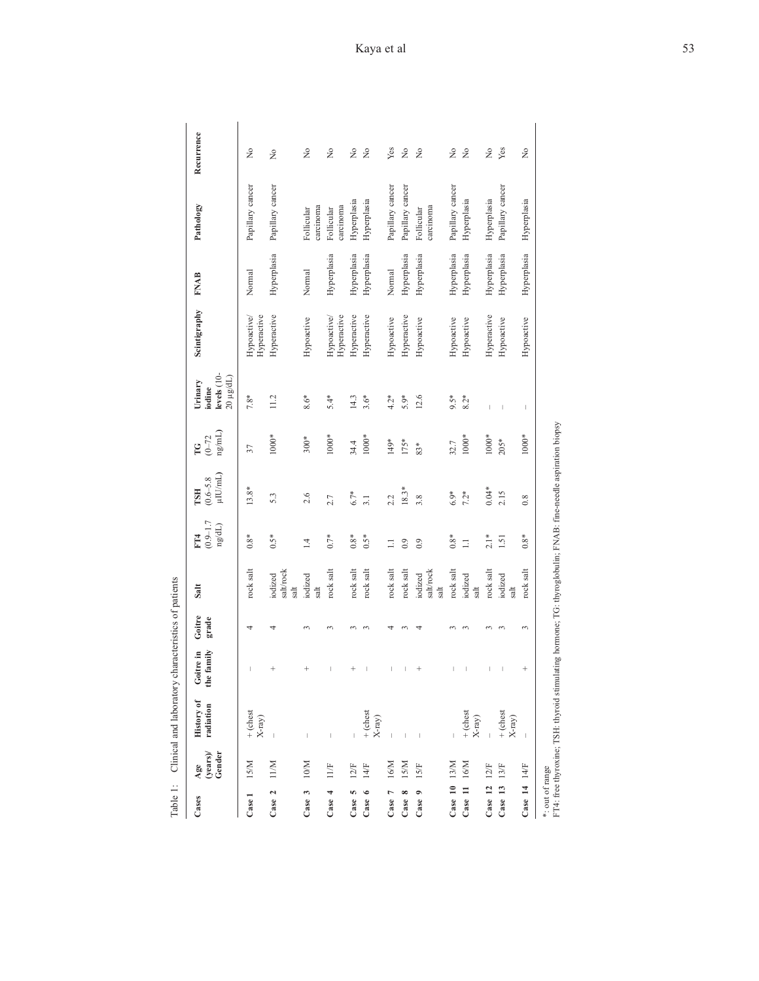| Table 1: |              | Clinical and laboratory ci  | haracteristics of patient |      |     |            |   |  |
|----------|--------------|-----------------------------|---------------------------|------|-----|------------|---|--|
| Cases    | $_{\rm age}$ | History of Goitre in Goitre |                           | Salt | FT4 | <b>TSH</b> | Ľ |  |

| Cases              | (years)<br>Gender<br>Age | <b>History of</b><br>radiation                                                                                | the family<br>Goitre in | Goitre<br>grade | Salt                         | $(0.9 - 1.7)$<br>$\mathrm{ng/dL})$<br>FT <sub>4</sub> | $(0.6-5.8$ µIU/mL)<br><b>TSH</b> | $\frac{(0-72)}{ng/mL}$<br>Ľ | levels (10-<br>20 µg/dL)<br>Urinary<br>iodine | Scintigraphy               | <b>FNAB</b> | Pathology               | Recurrence    |
|--------------------|--------------------------|---------------------------------------------------------------------------------------------------------------|-------------------------|-----------------|------------------------------|-------------------------------------------------------|----------------------------------|-----------------------------|-----------------------------------------------|----------------------------|-------------|-------------------------|---------------|
| Case 1             | IS/M                     | $+ (chestX-ray)$                                                                                              | I                       | 4               | rock salt                    | $0.8*$                                                | 13.8*                            | 37                          | $7.8*$                                        | Hyperactive<br>Hypoactive/ | Normal      | Papillary cancer        | $\frac{1}{2}$ |
| Case 2             | 11/M                     |                                                                                                               | $^{+}$                  | 4               | salt/rock<br>iodized<br>salt | $0.5*$                                                | 5.3                              | 1000*                       | 11.2                                          | Hyperactive                | Hyperplasia | Papillary cancer        | $\frac{1}{2}$ |
| E<br>Case          | N01                      | Ï                                                                                                             | $^{+}$                  |                 | iodized<br>salt              | $\overline{1}$                                        | 2.6                              | $300*$                      | $8.6*$                                        | Hypoactive                 | Normal      | carcinoma<br>Follicular | $\frac{1}{2}$ |
| Case 4             | 11/F                     |                                                                                                               | I                       | $\sim$          | rock salt                    | $0.7*$                                                | 2.7                              | 1000*                       | $5.4*$                                        | Hyperactive<br>Hypoactive/ | Hyperplasia | carcinoma<br>Follicular | $\frac{1}{2}$ |
| ю<br>Case          | 12/F                     |                                                                                                               |                         |                 | rock salt                    | $0.8*$                                                | $6.7*$                           | 34.4                        | 14.3                                          | Hyperactive                | Hyperplasia | Hyperplasia             | $\frac{1}{2}$ |
| ۰<br>Case          | 14/F                     | $+$ (chest<br>$\mathbf{X}\text{-ray})$                                                                        | $\mid$                  |                 | rock salt                    | $0.5*$                                                | 3.1                              | $1000*$                     | $3.6*$                                        | Hyperactive                | Hyperplasia | Hyperplasia             | $\tilde{z}$   |
| Case 7             | 16/M                     |                                                                                                               | $\mid$                  |                 | rock salt                    | $\equiv$                                              | 2.2                              | 149*                        | $4.2*$                                        | Hypoactive                 | Normal      | Papillary cancer        | Yes           |
| $\infty$<br>Case   | <b>ISM</b>               |                                                                                                               | I                       |                 | rock salt                    | 0.9                                                   | $18.3*$                          | $175*$                      | 5.9*                                          | Hyperactive                | Hyperplasia | Papillary cancer        | $\gtrsim$     |
| $\bullet$<br>Case  | 15/F                     |                                                                                                               |                         |                 | salt/rock<br>iodized<br>salt | 0.9                                                   | 3.8                              | 83*                         | 12.6                                          | Hypoactive                 | Hyperplasia | carcinoma<br>Follicular | $\tilde{z}$   |
| Case 10            | 13/M                     |                                                                                                               | L                       |                 | rock salt                    | $0.8*$                                                | $6.9*$                           | 32.7                        | $9.5*$                                        | Hypoactive                 | Hyperplasia | Papillary cancer        | $\frac{1}{2}$ |
| Case 11            | 16/M                     | $+$ (chest<br>$\mathbf{X}\text{-ray})$                                                                        | $\, \vert \,$           | $\sim$          | iodized<br>$_{\rm salt}$     | $\equiv$                                              | $7.2*$                           | $1000*$                     | $8.2*$                                        | Hypoactive                 | Hyperplasia | Hyperplasia             | $\tilde{z}$   |
| Case 12            | 12F                      |                                                                                                               | $\vert$                 | $\sim$          | rock salt                    | $2.1*$                                                | $0.04*$                          | $1000*$                     |                                               | Hyperactive                | Hyperplasia | Hyperplasia             | Ş             |
| Case 13            | 13/F                     | $+$ (chest<br>$\mathbf{X}\text{-ray})$                                                                        | $\mid$                  |                 | iodized<br>tk                | 1.51                                                  | 2.15                             | $205*$                      | $\overline{\phantom{a}}$                      | Hypoactive                 | Hyperplasia | Papillary cancer        | Yes           |
| Case $14$ $14$ $F$ |                          |                                                                                                               | $^{+}$                  | 3               | rock salt                    | $0.8*$                                                | 0.8                              | $1000*$                     | $\vert$                                       | Hypoactive                 | Hyperplasia | Hyperplasia             | ż             |
| *: out of range    |                          | FT4: free thyroxine; TSH: thyroid stimulating hormone; TG: thyroglobulin; FNAB: fine-needle aspiration biopsy |                         |                 |                              |                                                       |                                  |                             |                                               |                            |             |                         |               |
|                    |                          |                                                                                                               |                         |                 |                              |                                                       |                                  |                             |                                               |                            |             |                         |               |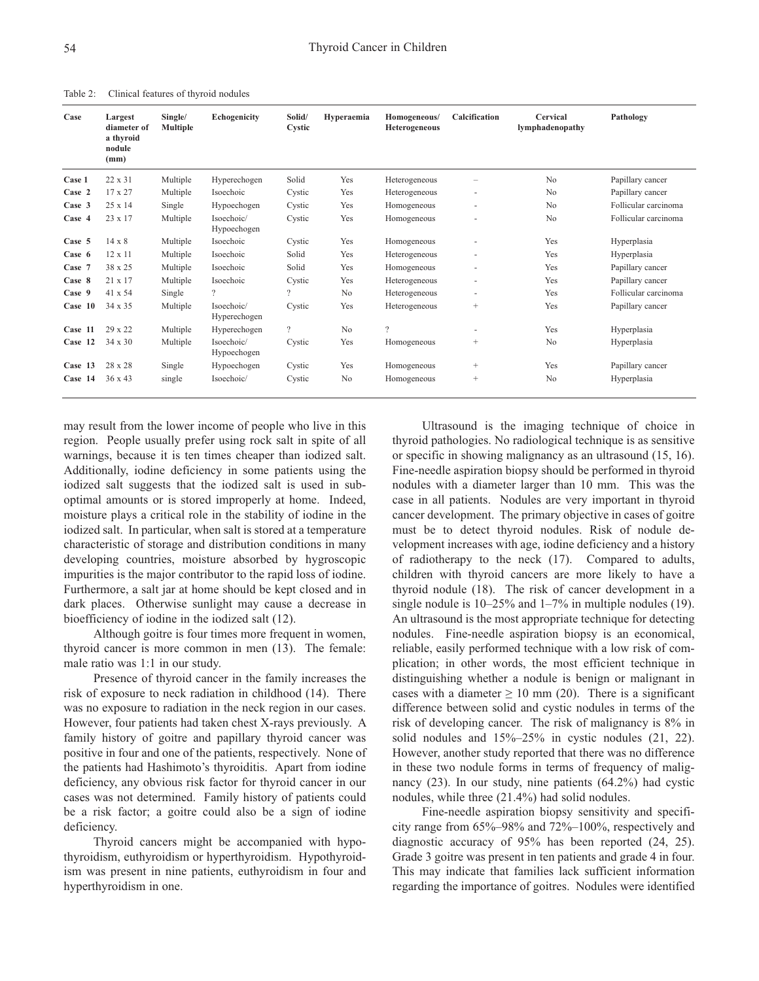| Case    | Largest<br>diameter of<br>a thyroid | Single/<br><b>Multiple</b> | <b>Echogenicity</b>        | Solid/<br>Cystic | Hyperaemia     | Homogeneous/<br><b>Heterogeneous</b> | Calcification            | Cervical<br>lymphadenopathy | Pathology            |
|---------|-------------------------------------|----------------------------|----------------------------|------------------|----------------|--------------------------------------|--------------------------|-----------------------------|----------------------|
|         | nodule<br>(mm)                      |                            |                            |                  |                |                                      |                          |                             |                      |
| Case 1  | 22 x 31                             | Multiple                   | Hyperechogen               | Solid            | Yes            | Heterogeneous                        |                          | No                          | Papillary cancer     |
| Case 2  | 17 x 27                             | Multiple                   | Isoechoic                  | Cystic           | Yes            | Heterogeneous                        | ٠                        | N <sub>0</sub>              | Papillary cancer     |
| Case 3  | 25 x 14                             | Single                     | Hypoechogen                | Cystic           | Yes            | Homogeneous                          |                          | N <sub>o</sub>              | Follicular carcinoma |
| Case 4  | $23 \times 17$                      | Multiple                   | Isoechoic/<br>Hypoechogen  | Cystic           | Yes            | Homogeneous                          |                          | N <sub>0</sub>              | Follicular carcinoma |
| Case 5  | $14 \times 8$                       | Multiple                   | Isoechoic                  | Cystic           | Yes            | Homogeneous                          |                          | Yes                         | Hyperplasia          |
| Case 6  | 12 x 11                             | Multiple                   | Isoechoic                  | Solid            | Yes            | Heterogeneous                        | ٠                        | Yes                         | Hyperplasia          |
| Case 7  | 38 x 25                             | Multiple                   | Isoechoic                  | Solid            | Yes            | Homogeneous                          | ٠                        | Yes                         | Papillary cancer     |
| Case 8  | 21 x 17                             | Multiple                   | Isoechoic                  | Cystic           | Yes            | Heterogeneous                        | ٠                        | Yes                         | Papillary cancer     |
| Case 9  | 41 x 54                             | Single                     | $\overline{\mathcal{C}}$   | 2                | N <sub>0</sub> | Heterogeneous                        | $\overline{\phantom{a}}$ | Yes                         | Follicular carcinoma |
| Case 10 | 34 x 35                             | Multiple                   | Isoechoic/<br>Hyperechogen | Cystic           | Yes            | Heterogeneous                        | $^{+}$                   | Yes                         | Papillary cancer     |
| Case 11 | 29 x 22                             | Multiple                   | Hyperechogen               | $\overline{?}$   | N <sub>0</sub> | $\overline{?}$                       |                          | Yes                         | Hyperplasia          |
| Case 12 | $34 \times 30$                      | Multiple                   | Isoechoic/<br>Hypoechogen  | Cystic           | Yes            | Homogeneous                          | $^{+}$                   | N <sub>o</sub>              | Hyperplasia          |
| Case 13 | 28 x 28                             | Single                     | Hypoechogen                | Cystic           | Yes            | Homogeneous                          | $^{+}$                   | Yes                         | Papillary cancer     |
| Case 14 | $36 \times 43$                      | single                     | Isoechoic/                 | Cystic           | N <sub>0</sub> | Homogeneous                          | $^{+}$                   | N <sub>0</sub>              | Hyperplasia          |

Table 2: Clinical features of thyroid nodules

may result from the lower income of people who live in this region. People usually prefer using rock salt in spite of all warnings, because it is ten times cheaper than iodized salt. Additionally, iodine deficiency in some patients using the iodized salt suggests that the iodized salt is used in suboptimal amounts or is stored improperly at home. Indeed, moisture plays a critical role in the stability of iodine in the iodized salt. In particular, when salt is stored at a temperature characteristic of storage and distribution conditions in many developing countries, moisture absorbed by hygroscopic impurities is the major contributor to the rapid loss of iodine. Furthermore, a salt jar at home should be kept closed and in dark places. Otherwise sunlight may cause a decrease in bioefficiency of iodine in the iodized salt (12).

Although goitre is four times more frequent in women, thyroid cancer is more common in men (13). The female: male ratio was 1:1 in our study.

Presence of thyroid cancer in the family increases the risk of exposure to neck radiation in childhood (14). There was no exposure to radiation in the neck region in our cases. However, four patients had taken chest X-rays previously. A family history of goitre and papillary thyroid cancer was positive in four and one of the patients, respectively. None of the patients had Hashimoto's thyroiditis. Apart from iodine deficiency, any obvious risk factor for thyroid cancer in our cases was not determined. Family history of patients could be a risk factor; a goitre could also be a sign of iodine deficiency.

Thyroid cancers might be accompanied with hypothyroidism, euthyroidism or hyperthyroidism. Hypothyroidism was present in nine patients, euthyroidism in four and hyperthyroidism in one.

Ultrasound is the imaging technique of choice in thyroid pathologies. No radiological technique is as sensitive or specific in showing malignancy as an ultrasound (15, 16). Fine-needle aspiration biopsy should be performed in thyroid nodules with a diameter larger than 10 mm. This was the case in all patients. Nodules are very important in thyroid cancer development. The primary objective in cases of goitre must be to detect thyroid nodules. Risk of nodule development increases with age, iodine deficiency and a history of radiotherapy to the neck (17). Compared to adults, children with thyroid cancers are more likely to have a thyroid nodule (18). The risk of cancer development in a single nodule is 10–25% and 1–7% in multiple nodules (19). An ultrasound is the most appropriate technique for detecting nodules. Fine-needle aspiration biopsy is an economical, reliable, easily performed technique with a low risk of complication; in other words, the most efficient technique in distinguishing whether a nodule is benign or malignant in cases with a diameter  $\geq 10$  mm (20). There is a significant difference between solid and cystic nodules in terms of the risk of developing cancer. The risk of malignancy is 8% in solid nodules and 15%–25% in cystic nodules (21, 22). However, another study reported that there was no difference in these two nodule forms in terms of frequency of malignancy (23). In our study, nine patients (64.2%) had cystic nodules, while three (21.4%) had solid nodules.

Fine-needle aspiration biopsy sensitivity and specificity range from 65%–98% and 72%–100%, respectively and diagnostic accuracy of 95% has been reported (24, 25). Grade 3 goitre was present in ten patients and grade 4 in four. This may indicate that families lack sufficient information regarding the importance of goitres. Nodules were identified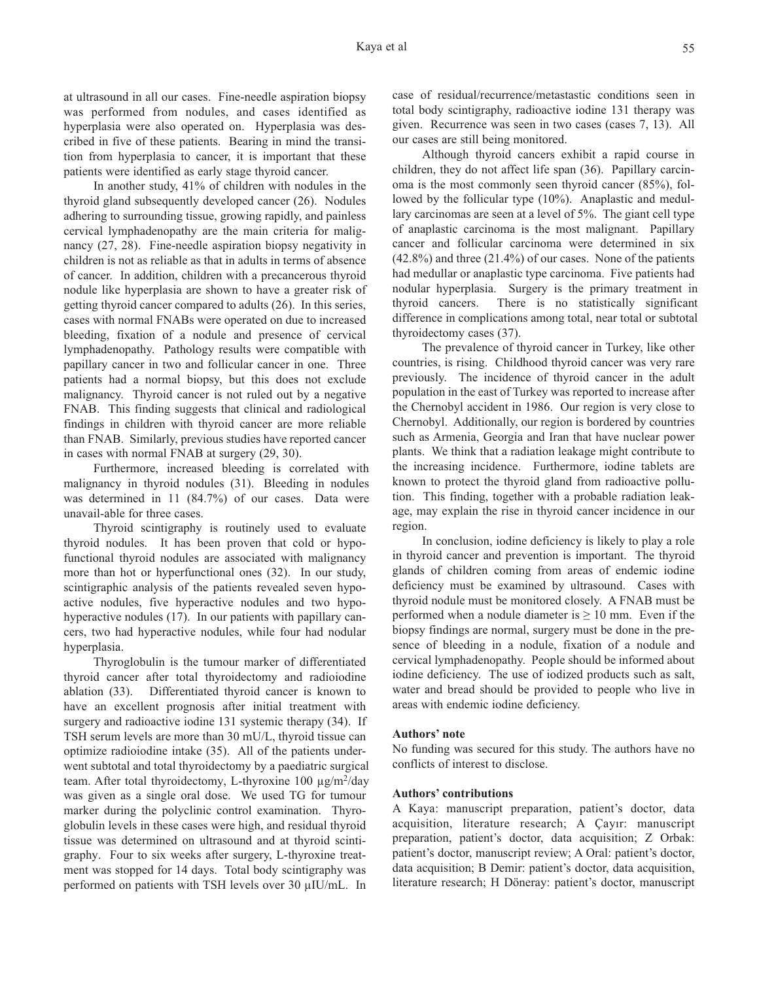at ultrasound in all our cases. Fine-needle aspiration biopsy was performed from nodules, and cases identified as hyperplasia were also operated on. Hyperplasia was described in five of these patients. Bearing in mind the transition from hyperplasia to cancer, it is important that these patients were identified as early stage thyroid cancer.

In another study, 41% of children with nodules in the thyroid gland subsequently developed cancer (26). Nodules adhering to surrounding tissue, growing rapidly, and painless cervical lymphadenopathy are the main criteria for malignancy (27, 28). Fine-needle aspiration biopsy negativity in children is not as reliable as that in adults in terms of absence of cancer. In addition, children with a precancerous thyroid nodule like hyperplasia are shown to have a greater risk of getting thyroid cancer compared to adults (26). In this series, cases with normal FNABs were operated on due to increased bleeding, fixation of a nodule and presence of cervical lymphadenopathy. Pathology results were compatible with papillary cancer in two and follicular cancer in one. Three patients had a normal biopsy, but this does not exclude malignancy. Thyroid cancer is not ruled out by a negative FNAB. This finding suggests that clinical and radiological findings in children with thyroid cancer are more reliable than FNAB. Similarly, previous studies have reported cancer in cases with normal FNAB at surgery (29, 30).

Furthermore, increased bleeding is correlated with malignancy in thyroid nodules (31). Bleeding in nodules was determined in 11 (84.7%) of our cases. Data were unavail-able for three cases.

Thyroid scintigraphy is routinely used to evaluate thyroid nodules. It has been proven that cold or hypofunctional thyroid nodules are associated with malignancy more than hot or hyperfunctional ones (32). In our study, scintigraphic analysis of the patients revealed seven hypoactive nodules, five hyperactive nodules and two hypohyperactive nodules (17). In our patients with papillary cancers, two had hyperactive nodules, while four had nodular hyperplasia.

Thyroglobulin is the tumour marker of differentiated thyroid cancer after total thyroidectomy and radioiodine ablation (33). Differentiated thyroid cancer is known to have an excellent prognosis after initial treatment with surgery and radioactive iodine 131 systemic therapy (34). If TSH serum levels are more than 30 mU/L, thyroid tissue can optimize radioiodine intake (35). All of the patients underwent subtotal and total thyroidectomy by a paediatric surgical team. After total thyroidectomy, L-thyroxine 100 µg/m<sup>2</sup>/day was given as a single oral dose. We used TG for tumour marker during the polyclinic control examination. Thyroglobulin levels in these cases were high, and residual thyroid tissue was determined on ultrasound and at thyroid scintigraphy. Four to six weeks after surgery, L-thyroxine treatment was stopped for 14 days. Total body scintigraphy was performed on patients with TSH levels over 30 µIU/mL. In

case of residual/recurrence/metastastic conditions seen in total body scintigraphy, radioactive iodine 131 therapy was given. Recurrence was seen in two cases (cases 7, 13). All our cases are still being monitored.

Although thyroid cancers exhibit a rapid course in children, they do not affect life span (36). Papillary carcinoma is the most commonly seen thyroid cancer (85%), followed by the follicular type (10%). Anaplastic and medullary carcinomas are seen at a level of 5%. The giant cell type of anaplastic carcinoma is the most malignant. Papillary cancer and follicular carcinoma were determined in six (42.8%) and three (21.4%) of our cases. None of the patients had medullar or anaplastic type carcinoma. Five patients had nodular hyperplasia. Surgery is the primary treatment in thyroid cancers. There is no statistically significant difference in complications among total, near total or subtotal thyroidectomy cases (37).

The prevalence of thyroid cancer in Turkey, like other countries, is rising. Childhood thyroid cancer was very rare previously. The incidence of thyroid cancer in the adult population in the east of Turkey was reported to increase after the Chernobyl accident in 1986. Our region is very close to Chernobyl. Additionally, our region is bordered by countries such as Armenia, Georgia and Iran that have nuclear power plants. We think that a radiation leakage might contribute to the increasing incidence. Furthermore, iodine tablets are known to protect the thyroid gland from radioactive pollution. This finding, together with a probable radiation leakage, may explain the rise in thyroid cancer incidence in our region.

In conclusion, iodine deficiency is likely to play a role in thyroid cancer and prevention is important. The thyroid glands of children coming from areas of endemic iodine deficiency must be examined by ultrasound. Cases with thyroid nodule must be monitored closely. A FNAB must be performed when a nodule diameter is  $\geq 10$  mm. Even if the biopsy findings are normal, surgery must be done in the presence of bleeding in a nodule, fixation of a nodule and cervical lymphadenopathy. People should be informed about iodine deficiency. The use of iodized products such as salt, water and bread should be provided to people who live in areas with endemic iodine deficiency.

# **Authors' note**

No funding was secured for this study. The authors have no conflicts of interest to disclose.

# **Authors' contributions**

A Kaya: manuscript preparation, patient's doctor, data acquisition, literature research; A Çayır: manuscript preparation, patient's doctor, data acquisition; Z Orbak: patient's doctor, manuscript review; A Oral: patient's doctor, data acquisition; B Demir: patient's doctor, data acquisition, literature research; H Döneray: patient's doctor, manuscript